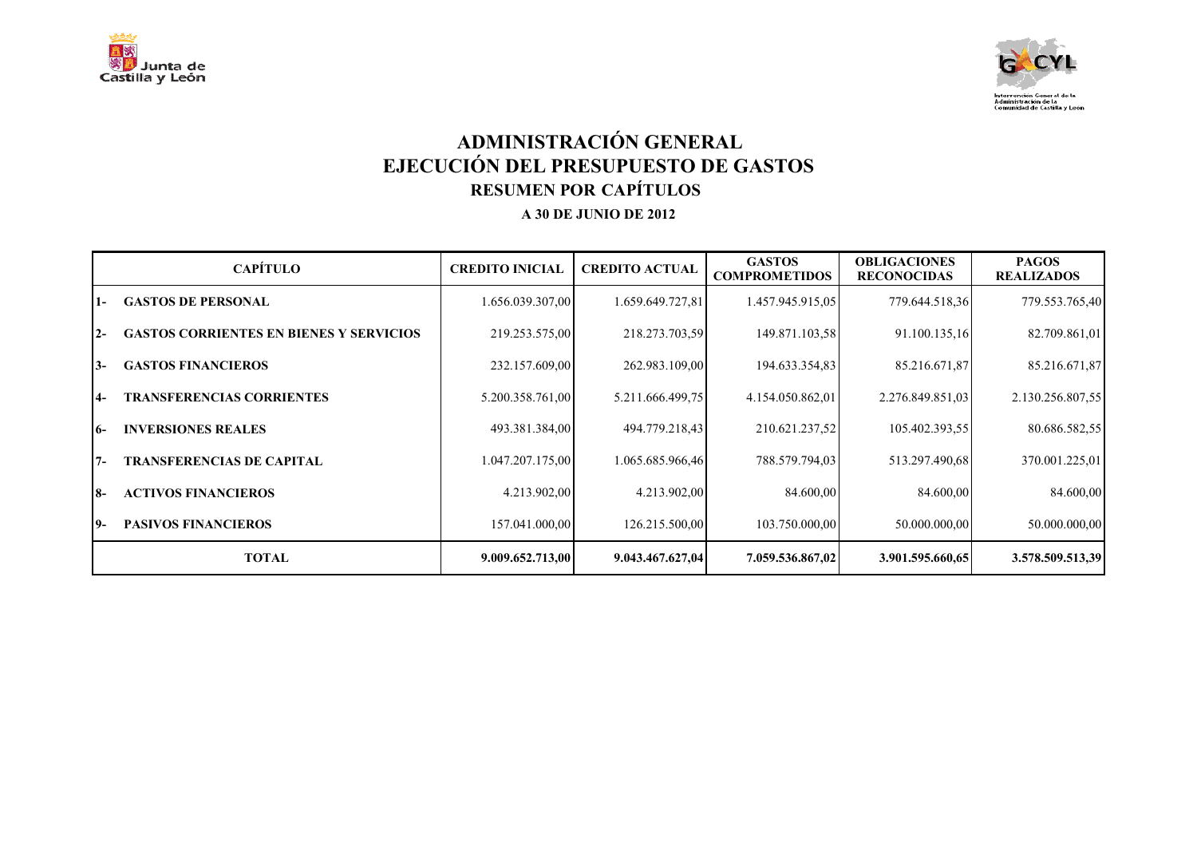



# **ADMINISTRACIÓN GENERAL EJECUCIÓN DEL PRESUPUESTO DE GASTOS RESUMEN POR CAPÍTULOS**

|                | <b>CAPÍTULO</b>                                | <b>CREDITO INICIAL</b> | <b>CREDITO ACTUAL</b> | <b>GASTOS</b><br><b>COMPROMETIDOS</b> | <b>OBLIGACIONES</b><br><b>RECONOCIDAS</b> | <b>PAGOS</b><br><b>REALIZADOS</b> |
|----------------|------------------------------------------------|------------------------|-----------------------|---------------------------------------|-------------------------------------------|-----------------------------------|
| $\overline{1}$ | <b>GASTOS DE PERSONAL</b>                      | 1.656.039.307,00       | 1.659.649.727,81      | 1.457.945.915,05                      | 779.644.518,36                            | 779.553.765,40                    |
| $2 -$          | <b>GASTOS CORRIENTES EN BIENES Y SERVICIOS</b> | 219.253.575,00         | 218.273.703,59        | 149.871.103,58                        | 91.100.135,16                             | 82.709.861,01                     |
| $3-$           | <b>GASTOS FINANCIEROS</b>                      | 232.157.609,00         | 262.983.109,00        | 194.633.354,83                        | 85.216.671,87                             | 85.216.671,87                     |
| $4-$           | <b>TRANSFERENCIAS CORRIENTES</b>               | 5.200.358.761,00       | 5.211.666.499.75      | 4.154.050.862,01                      | 2.276.849.851,03                          | 2.130.256.807,55                  |
| I6-            | <b>INVERSIONES REALES</b>                      | 493.381.384,00         | 494.779.218,43        | 210.621.237,52                        | 105.402.393,55                            | 80.686.582,55                     |
| $7 -$          | <b>TRANSFERENCIAS DE CAPITAL</b>               | 1.047.207.175,00       | 1.065.685.966,46      | 788.579.794,03                        | 513.297.490.68                            | 370.001.225,01                    |
| <b>8-</b>      | <b>ACTIVOS FINANCIEROS</b>                     | 4.213.902,00           | 4.213.902,00          | 84.600,00                             | 84.600,00                                 | 84.600,00                         |
| 19-            | <b>PASIVOS FINANCIEROS</b>                     | 157.041.000,00         | 126.215.500,00        | 103.750.000,00                        | 50.000.000,00                             | 50.000.000,00                     |
|                | <b>TOTAL</b>                                   | 9.009.652.713,00       | 9.043.467.627,04      | 7.059.536.867,02                      | 3.901.595.660,65                          | 3.578.509.513,39                  |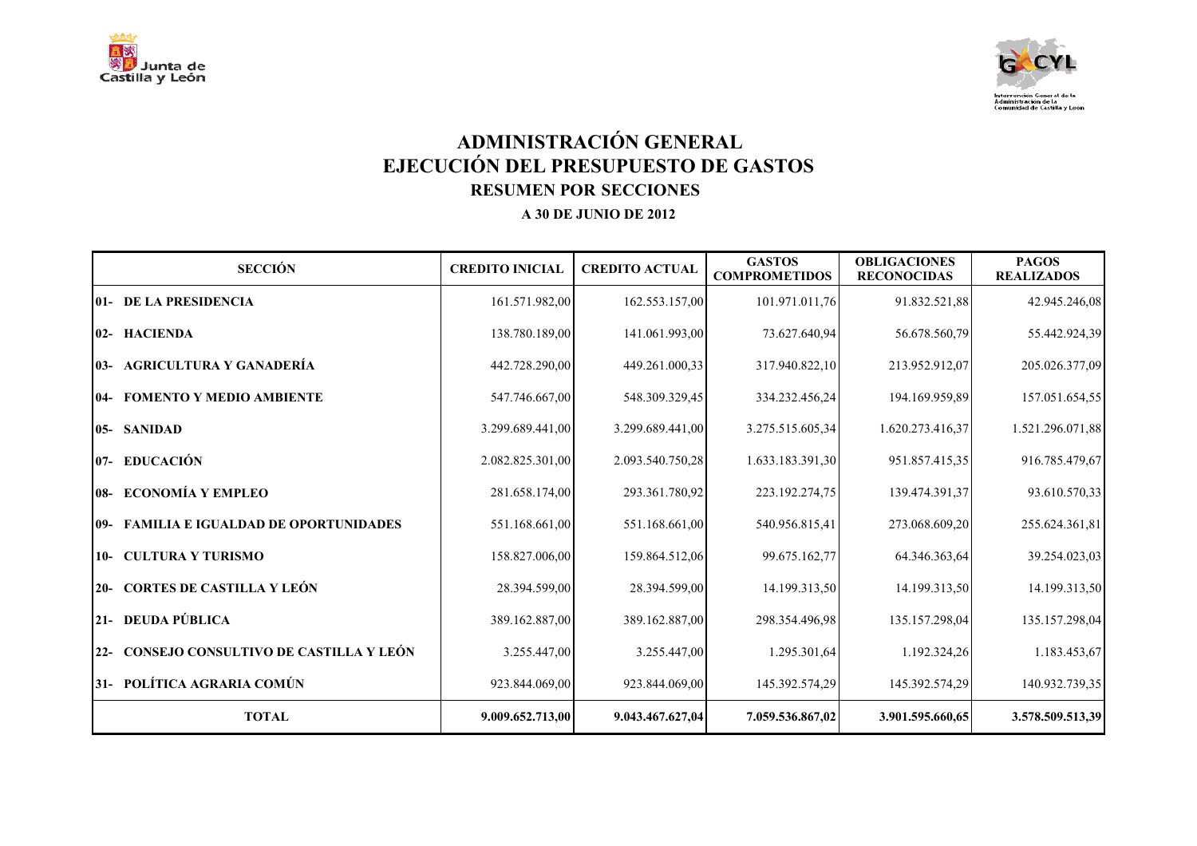



# **ADMINISTRACIÓN GENERAL EJECUCIÓN DEL PRESUPUESTO DE GASTOS RESUMEN POR SECCIONES**

| <b>SECCIÓN</b>                                 | <b>CREDITO INICIAL</b> | <b>CREDITO ACTUAL</b> | <b>GASTOS</b><br><b>COMPROMETIDOS</b> | <b>OBLIGACIONES</b><br><b>RECONOCIDAS</b> | <b>PAGOS</b><br><b>REALIZADOS</b> |
|------------------------------------------------|------------------------|-----------------------|---------------------------------------|-------------------------------------------|-----------------------------------|
| 01- DE LA PRESIDENCIA                          | 161.571.982,00         | 162.553.157,00        | 101.971.011,76                        | 91.832.521,88                             | 42.945.246,08                     |
| 02- HACIENDA                                   | 138.780.189,00         | 141.061.993,00        | 73.627.640,94                         | 56.678.560,79                             | 55.442.924,39                     |
| 03- AGRICULTURA Y GANADERÍA                    | 442.728.290,00         | 449.261.000.33        | 317.940.822,10                        | 213.952.912,07                            | 205.026.377,09                    |
| <b>04- FOMENTO Y MEDIO AMBIENTE</b>            | 547.746.667,00         | 548.309.329,45        | 334.232.456,24                        | 194.169.959,89                            | 157.051.654,55                    |
| 05- SANIDAD                                    | 3.299.689.441,00       | 3.299.689.441,00      | 3.275.515.605,34                      | 1.620.273.416,37                          | 1.521.296.071,88                  |
| 07- EDUCACIÓN                                  | 2.082.825.301,00       | 2.093.540.750,28      | 1.633.183.391,30                      | 951.857.415,35                            | 916.785.479,67                    |
| 08- ECONOMÍA Y EMPLEO                          | 281.658.174,00         | 293.361.780,92        | 223.192.274.75                        | 139.474.391,37                            | 93.610.570,33                     |
| <b>09- FAMILIA E IGUALDAD DE OPORTUNIDADES</b> | 551.168.661,00         | 551.168.661,00        | 540.956.815,41                        | 273.068.609,20                            | 255.624.361,81                    |
| 10- CULTURA Y TURISMO                          | 158.827.006,00         | 159.864.512,06        | 99.675.162,77                         | 64.346.363,64                             | 39.254.023,03                     |
| 20- CORTES DE CASTILLA Y LEÓN                  | 28.394.599,00          | 28.394.599,00         | 14.199.313,50                         | 14.199.313,50                             | 14.199.313,50                     |
| 21- DEUDA PÚBLICA                              | 389.162.887,00         | 389.162.887,00        | 298.354.496,98                        | 135.157.298,04                            | 135.157.298,04                    |
| 22- CONSEJO CONSULTIVO DE CASTILLA Y LEÓN      | 3.255.447,00           | 3.255.447,00          | 1.295.301,64                          | 1.192.324,26                              | 1.183.453,67                      |
| 31- POLÍTICA AGRARIA COMÚN                     | 923.844.069,00         | 923.844.069,00        | 145.392.574,29                        | 145.392.574,29                            | 140.932.739,35                    |
| <b>TOTAL</b>                                   | 9.009.652.713,00       | 9.043.467.627,04      | 7.059.536.867,02                      | 3.901.595.660,65                          | 3.578.509.513,39                  |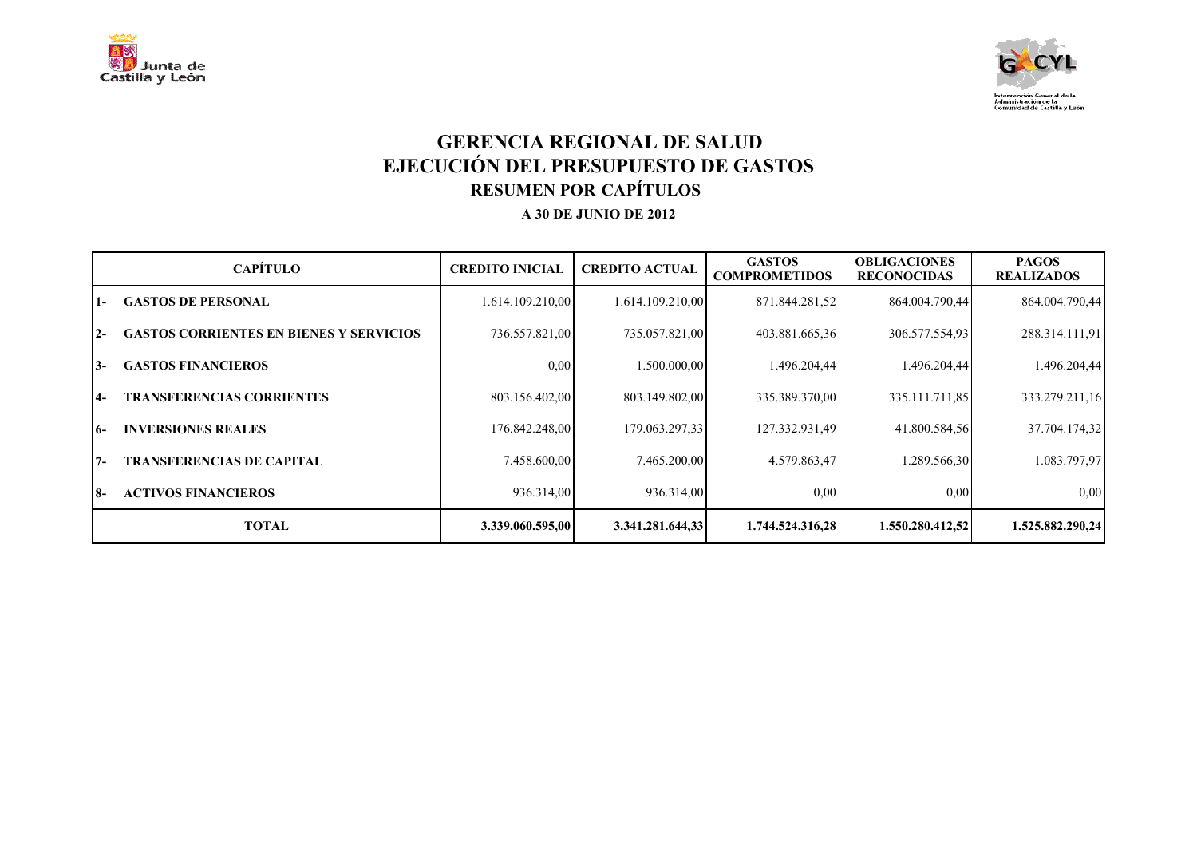



## **GERENCIA REGIONAL DE SALUD EJECUCIÓN DEL PRESUPUESTO DE GASTOS RESUMEN POR CAPÍTULOS**

|           | <b>CAPÍTULO</b>                                | <b>CREDITO INICIAL</b> | <b>CREDITO ACTUAL</b> | <b>GASTOS</b><br><b>COMPROMETIDOS</b> | <b>OBLIGACIONES</b><br><b>RECONOCIDAS</b> | <b>PAGOS</b><br><b>REALIZADOS</b> |
|-----------|------------------------------------------------|------------------------|-----------------------|---------------------------------------|-------------------------------------------|-----------------------------------|
| $1 -$     | <b>GASTOS DE PERSONAL</b>                      | 1.614.109.210,00       | 1.614.109.210,00      | 871.844.281,52                        | 864.004.790,44                            | 864.004.790,44                    |
| $12-$     | <b>GASTOS CORRIENTES EN BIENES Y SERVICIOS</b> | 736.557.821,00         | 735.057.821,00        | 403.881.665,36                        | 306.577.554,93                            | 288.314.111,91                    |
| 13-       | <b>GASTOS FINANCIEROS</b>                      | 0.00                   | 1.500.000.00          | 1.496.204.44                          | 1.496.204.44                              | 1.496.204,44                      |
| $14-$     | <b>TRANSFERENCIAS CORRIENTES</b>               | 803.156.402,00         | 803.149.802,00        | 335.389.370,00                        | 335.111.711.85                            | 333.279.211,16                    |
| $16-$     | <b>INVERSIONES REALES</b>                      | 176.842.248,00         | 179.063.297.33        | 127.332.931,49                        | 41.800.584,56                             | 37.704.174,32                     |
| $7 -$     | TRANSFERENCIAS DE CAPITAL                      | 7.458.600,00           | 7.465.200,00          | 4.579.863,47                          | 1.289.566.30                              | 1.083.797,97                      |
| <b>8-</b> | <b>ACTIVOS FINANCIEROS</b>                     | 936.314,00             | 936.314,00            | 0.00                                  | 0,00                                      | 0.00                              |
|           | <b>TOTAL</b>                                   | 3.339.060.595,00       | 3.341.281.644,33      | 1.744.524.316,28                      | 1.550.280.412.52                          | 1.525.882.290,24                  |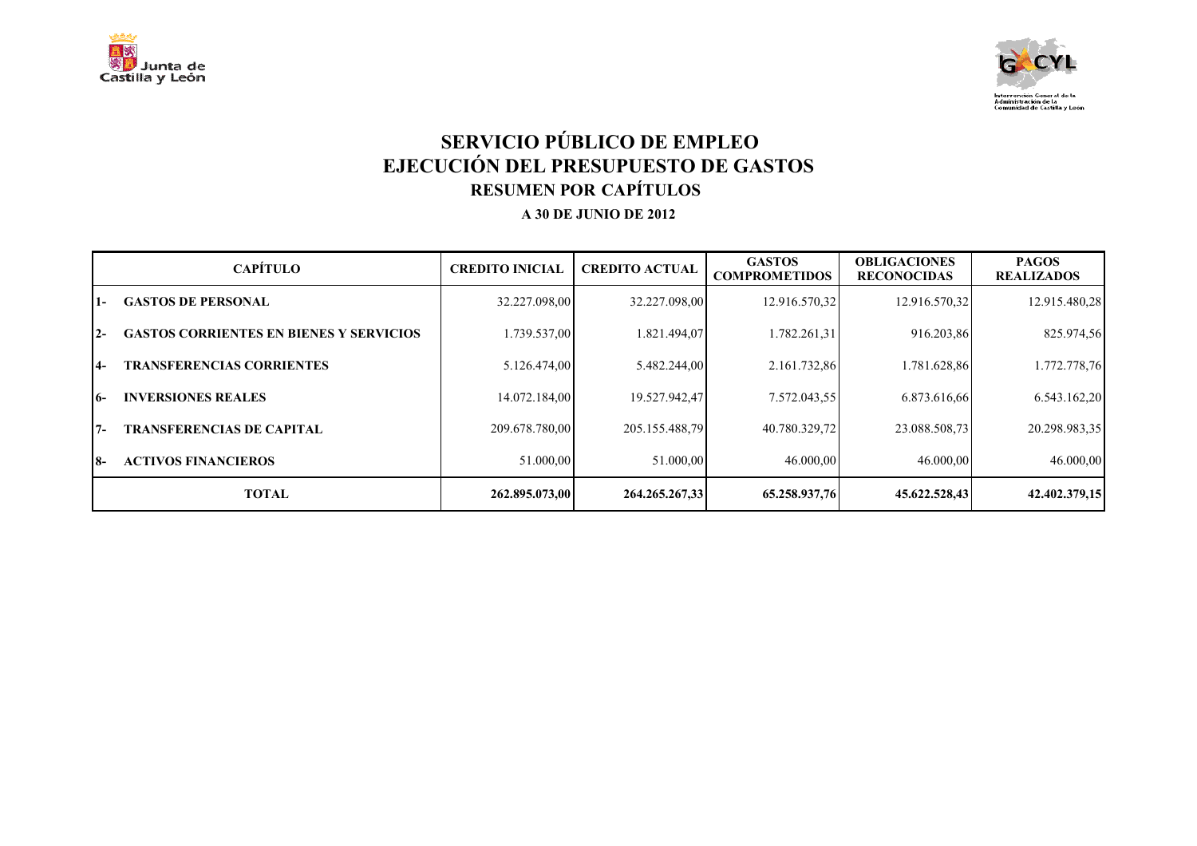



# **SERVICIO PÚBLICO DE EMPLEO EJECUCIÓN DEL PRESUPUESTO DE GASTOS RESUMEN POR CAPÍTULOS**

|       | <b>CAPÍTULO</b>                                | <b>CREDITO INICIAL</b> | <b>CREDITO ACTUAL</b> | <b>GASTOS</b><br><b>COMPROMETIDOS</b> | <b>OBLIGACIONES</b><br><b>RECONOCIDAS</b> | <b>PAGOS</b><br><b>REALIZADOS</b> |
|-------|------------------------------------------------|------------------------|-----------------------|---------------------------------------|-------------------------------------------|-----------------------------------|
| l 1 – | <b>GASTOS DE PERSONAL</b>                      | 32.227.098,00          | 32.227.098.00         | 12.916.570,32                         | 12.916.570,32                             | 12.915.480,28                     |
| $12-$ | <b>GASTOS CORRIENTES EN BIENES Y SERVICIOS</b> | 1.739.537,00           | .821.494,07           | 1.782.261.31                          | 916.203,86                                | 825.974,56                        |
| I4–   | <b>TRANSFERENCIAS CORRIENTES</b>               | 5.126.474.00           | 5.482.244.00          | 2.161.732,86                          | 1.781.628,86                              | 1.772.778,76                      |
| 16-   | <b>INVERSIONES REALES</b>                      | 14.072.184,00          | 19.527.942,47         | 7.572.043.55                          | 6.873.616,66                              | 6.543.162,20                      |
| 17-   | <b>TRANSFERENCIAS DE CAPITAL</b>               | 209.678.780,00         | 205.155.488.79        | 40.780.329,72                         | 23.088.508.73                             | 20.298.983,35                     |
| 18-   | <b>ACTIVOS FINANCIEROS</b>                     | 51.000,00              | 51.000,00             | 46.000.00                             | 46.000,00                                 | 46.000,00                         |
|       | <b>TOTAL</b>                                   | 262.895.073.00         | 264.265.267.33        | 65.258.937.76                         | 45.622.528.43                             | 42.402.379,15                     |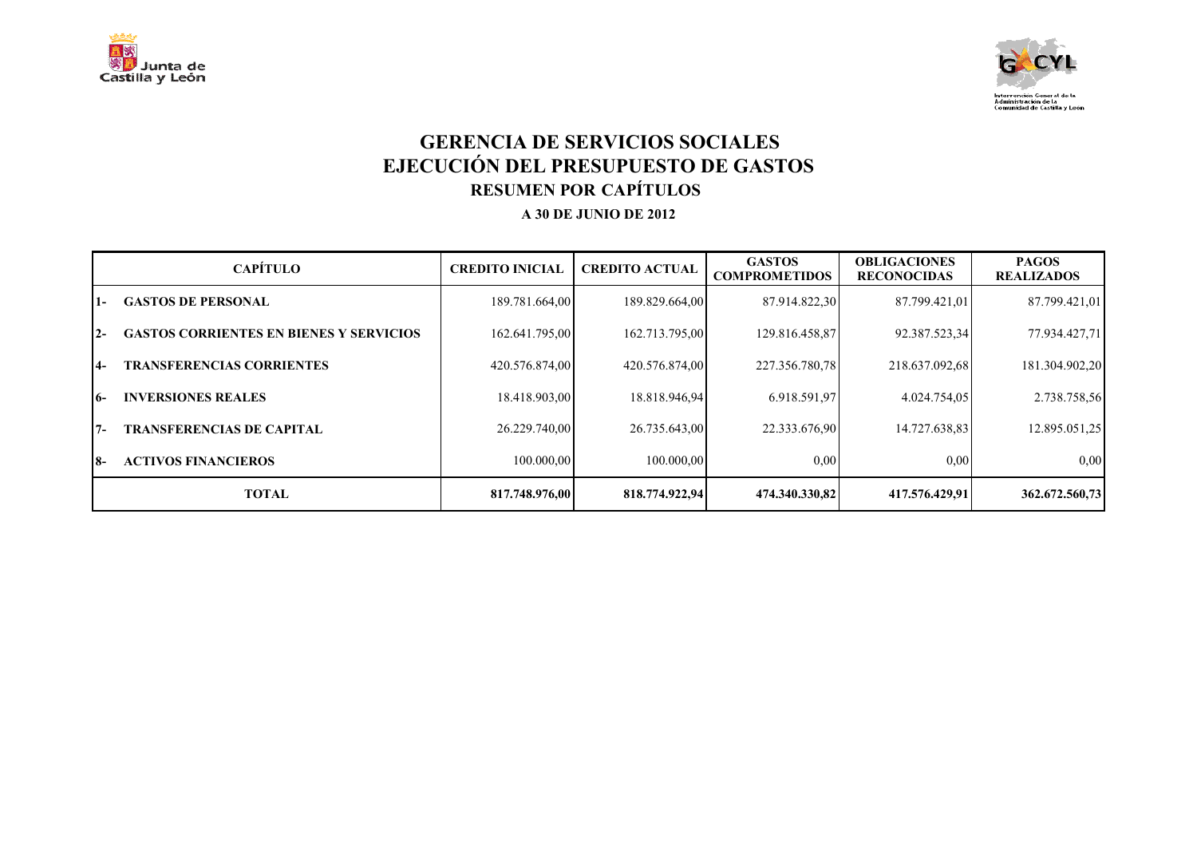



## **GERENCIA DE SERVICIOS SOCIALES EJECUCIÓN DEL PRESUPUESTO DE GASTOS RESUMEN POR CAPÍTULOS**

|       | <b>CAPÍTULO</b>                                | <b>CREDITO INICIAL</b> | <b>CREDITO ACTUAL</b> | <b>GASTOS</b><br><b>COMPROMETIDOS</b> | <b>OBLIGACIONES</b><br><b>RECONOCIDAS</b> | <b>PAGOS</b><br><b>REALIZADOS</b> |
|-------|------------------------------------------------|------------------------|-----------------------|---------------------------------------|-------------------------------------------|-----------------------------------|
| $1-$  | <b>GASTOS DE PERSONAL</b>                      | 189.781.664,00         | 189.829.664,00        | 87.914.822,30                         | 87.799.421,01                             | 87.799.421,01                     |
| $2 -$ | <b>GASTOS CORRIENTES EN BIENES Y SERVICIOS</b> | 162.641.795,00         | 162.713.795,00        | 129.816.458,87                        | 92.387.523,34                             | 77.934.427,71                     |
| $4-$  | <b>TRANSFERENCIAS CORRIENTES</b>               | 420.576.874,00         | 420.576.874,00        | 227.356.780,78                        | 218.637.092,68                            | 181.304.902,20                    |
| $16-$ | <b>INVERSIONES REALES</b>                      | 18.418.903,00          | 18.818.946,94         | 6.918.591,97                          | 4.024.754,05                              | 2.738.758.56                      |
| $7 -$ | <b>TRANSFERENCIAS DE CAPITAL</b>               | 26.229.740,00          | 26.735.643,00         | 22.333.676,90                         | 14.727.638,83                             | 12.895.051,25                     |
| I8-   | <b>ACTIVOS FINANCIEROS</b>                     | 100.000.00             | 100.000.00            | 0,00                                  | 0,00                                      | 0.00                              |
|       | <b>TOTAL</b>                                   | 817.748.976.00         | 818.774.922.94        | 474.340.330.82                        | 417.576.429.91                            | 362.672.560.73                    |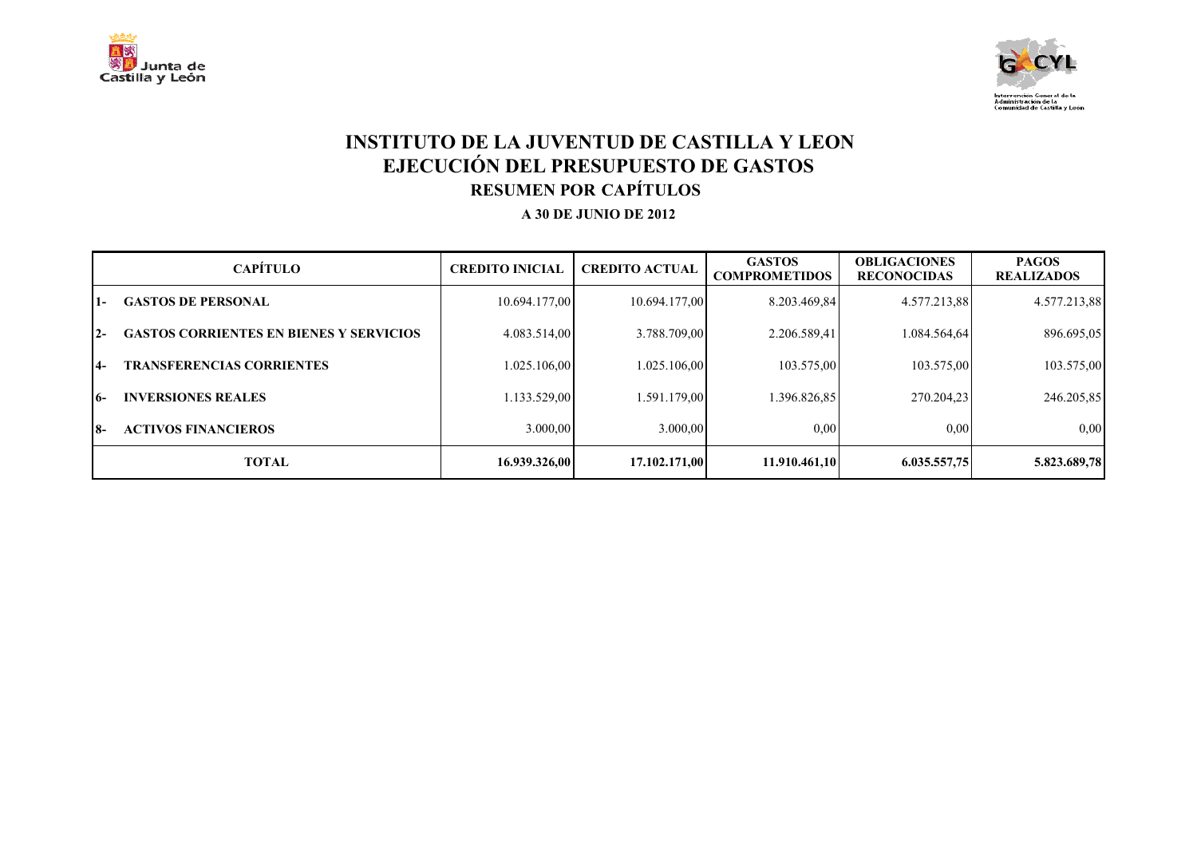



## **INSTITUTO DE LA JUVENTUD DE CASTILLA Y LEON EJECUCIÓN DEL PRESUPUESTO DE GASTOS RESUMEN POR CAPÍTULOS**

|       | <b>CAPÍTULO</b>                                | <b>CREDITO INICIAL</b> | <b>CREDITO ACTUAL</b> | <b>GASTOS</b><br><b>COMPROMETIDOS</b> | <b>OBLIGACIONES</b><br><b>RECONOCIDAS</b> | <b>PAGOS</b><br><b>REALIZADOS</b> |
|-------|------------------------------------------------|------------------------|-----------------------|---------------------------------------|-------------------------------------------|-----------------------------------|
| l 1 – | <b>GASTOS DE PERSONAL</b>                      | 10.694.177.00          | 10.694.177.00         | 8.203.469.84                          | 4.577.213.88                              | 4.577.213,88                      |
| $12-$ | <b>GASTOS CORRIENTES EN BIENES Y SERVICIOS</b> | 4.083.514,00           | 3.788.709.00          | 2.206.589,41                          | 1.084.564,64                              | 896.695,05                        |
| $14-$ | <b>TRANSFERENCIAS CORRIENTES</b>               | 1.025.106,00           | 1.025.106,00          | 103.575,00                            | 103.575,00                                | 103.575,00                        |
| 16-   | <b>INVERSIONES REALES</b>                      | 1.133.529,00           | .591.179,00           | 1.396.826.85                          | 270.204.23                                | 246.205,85                        |
| 18-   | <b>ACTIVOS FINANCIEROS</b>                     | 3.000,00               | 3.000.00              | $0.00\,$                              | 0.00                                      | 0.00                              |
|       | <b>TOTAL</b>                                   | 16.939.326.00          | 17.102.171.00         | 11.910.461.10                         | 6.035.557,75                              | 5.823.689,78                      |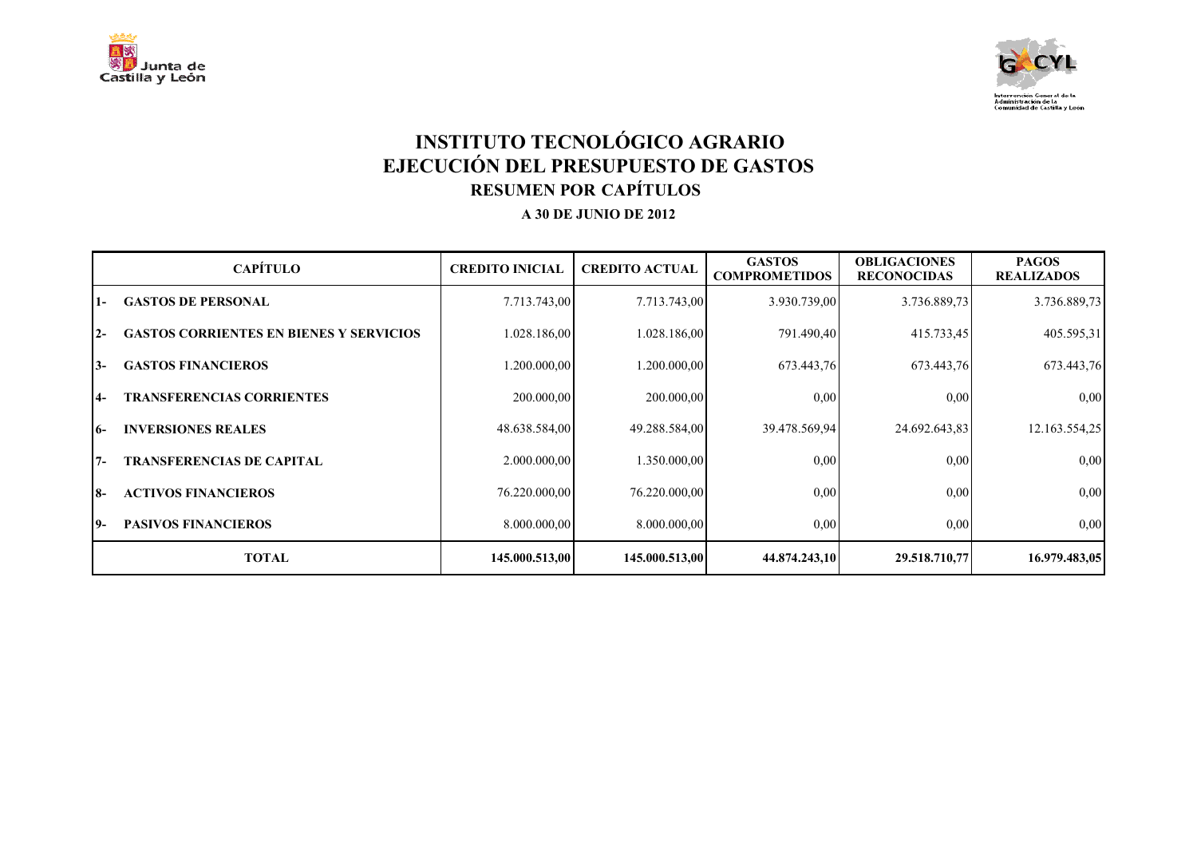



# **INSTITUTO TECNOLÓGICO AGRARIO EJECUCIÓN DEL PRESUPUESTO DE GASTOS RESUMEN POR CAPÍTULOS**

|       | <b>CAPÍTULO</b>                                | <b>CREDITO INICIAL</b> | <b>CREDITO ACTUAL</b> | <b>GASTOS</b><br><b>COMPROMETIDOS</b> | <b>OBLIGACIONES</b><br><b>RECONOCIDAS</b> | <b>PAGOS</b><br><b>REALIZADOS</b> |
|-------|------------------------------------------------|------------------------|-----------------------|---------------------------------------|-------------------------------------------|-----------------------------------|
| $1-$  | <b>GASTOS DE PERSONAL</b>                      | 7.713.743,00           | 7.713.743,00          | 3.930.739,00                          | 3.736.889,73                              | 3.736.889,73                      |
| $2 -$ | <b>GASTOS CORRIENTES EN BIENES Y SERVICIOS</b> | 1.028.186,00           | 1.028.186,00          | 791.490,40                            | 415.733,45                                | 405.595,31                        |
| I3-   | <b>GASTOS FINANCIEROS</b>                      | 1.200.000,00           | 1.200.000,00          | 673.443,76                            | 673.443,76                                | 673.443,76                        |
| $ 4-$ | <b>TRANSFERENCIAS CORRIENTES</b>               | 200.000,00             | 200.000,00            | 0,00                                  | 0.00                                      | 0,00                              |
| 16-   | <b>INVERSIONES REALES</b>                      | 48.638.584,00          | 49.288.584,00         | 39.478.569,94                         | 24.692.643,83                             | 12.163.554,25                     |
| 17-   | <b>TRANSFERENCIAS DE CAPITAL</b>               | 2.000.000,00           | 1.350.000,00          | 0,00                                  | 0,00                                      | 0,00                              |
| I8-   | <b>ACTIVOS FINANCIEROS</b>                     | 76.220.000,00          | 76.220.000,00         | 0.00                                  | 0.00                                      | 0.00                              |
| 19-   | <b>PASIVOS FINANCIEROS</b>                     | 8.000.000,00           | 8.000.000,00          | 0,00                                  | 0.00                                      | 0,00                              |
|       | <b>TOTAL</b>                                   | 145.000.513,00         | 145.000.513,00        | 44.874.243,10                         | 29.518.710,77                             | 16.979.483,05                     |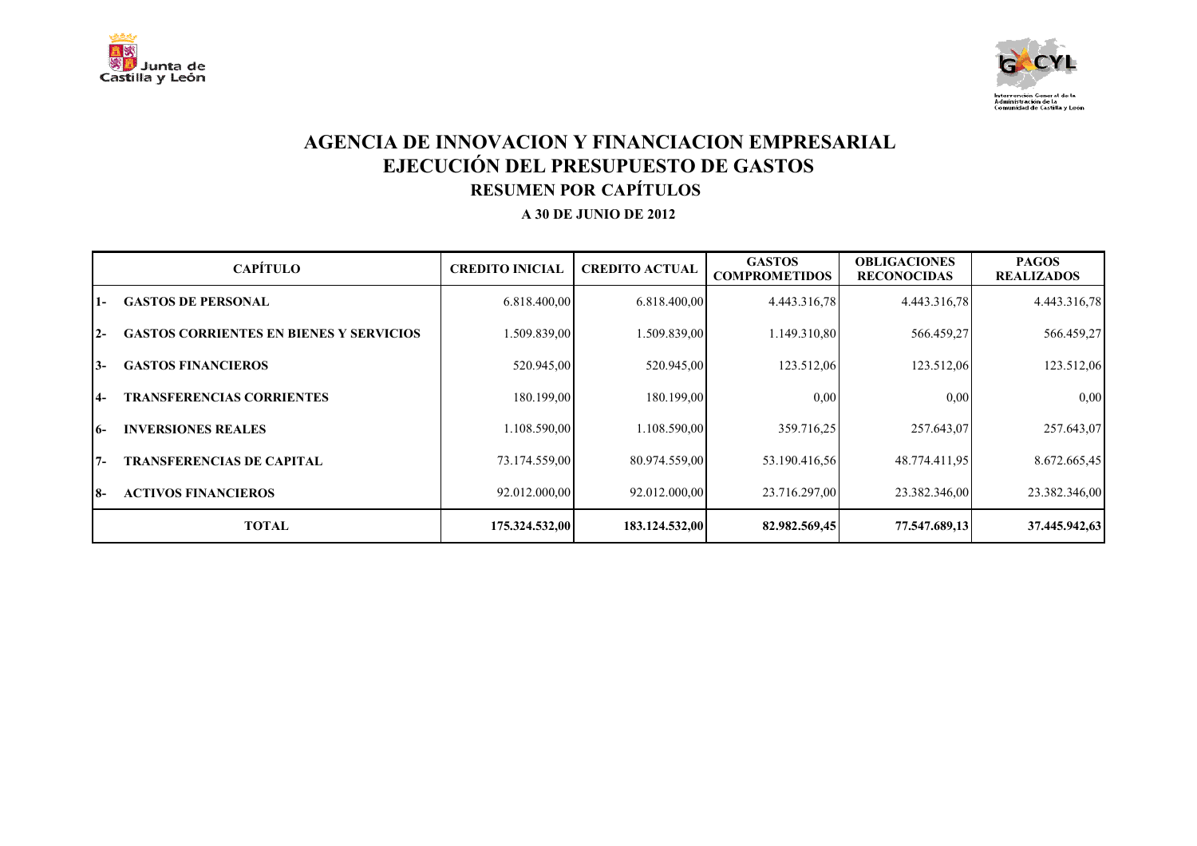



### **AGENCIA DE INNOVACION Y FINANCIACION EMPRESARIAL EJECUCIÓN DEL PRESUPUESTO DE GASTOS RESUMEN POR CAPÍTULOS**

|                 | <b>CAPÍTULO</b>                                | <b>CREDITO INICIAL</b> | <b>CREDITO ACTUAL</b> | <b>GASTOS</b><br><b>COMPROMETIDOS</b> | <b>OBLIGACIONES</b><br><b>RECONOCIDAS</b> | <b>PAGOS</b><br><b>REALIZADOS</b> |
|-----------------|------------------------------------------------|------------------------|-----------------------|---------------------------------------|-------------------------------------------|-----------------------------------|
| $\overline{1}$  | <b>GASTOS DE PERSONAL</b>                      | 6.818.400,00           | 6.818.400,00          | 4.443.316.78                          | 4.443.316.78                              | 4.443.316,78                      |
| $2 -$           | <b>GASTOS CORRIENTES EN BIENES Y SERVICIOS</b> | 1.509.839,00           | 1.509.839,00          | 1.149.310,80                          | 566.459,27                                | 566.459,27                        |
| $3-$            | <b>GASTOS FINANCIEROS</b>                      | 520.945,00             | 520.945,00            | 123.512,06                            | 123.512,06                                | 123.512,06                        |
| $\overline{14}$ | <b>TRANSFERENCIAS CORRIENTES</b>               | 180.199,00             | 180.199,00            | 0,00                                  | 0.00                                      | 0,00                              |
| 16-             | <b>INVERSIONES REALES</b>                      | 1.108.590,00           | 1.108.590,00          | 359.716.25                            | 257.643,07                                | 257.643,07                        |
| $7 -$           | <b>TRANSFERENCIAS DE CAPITAL</b>               | 73.174.559,00          | 80.974.559,00         | 53.190.416,56                         | 48.774.411,95                             | 8.672.665,45                      |
| 18-             | <b>ACTIVOS FINANCIEROS</b>                     | 92.012.000,00          | 92.012.000,00         | 23.716.297,00                         | 23.382.346,00                             | 23.382.346,00                     |
|                 | <b>TOTAL</b>                                   | 175.324.532,00         | 183.124.532,00        | 82.982.569,45                         | 77.547.689,13                             | 37.445.942,63                     |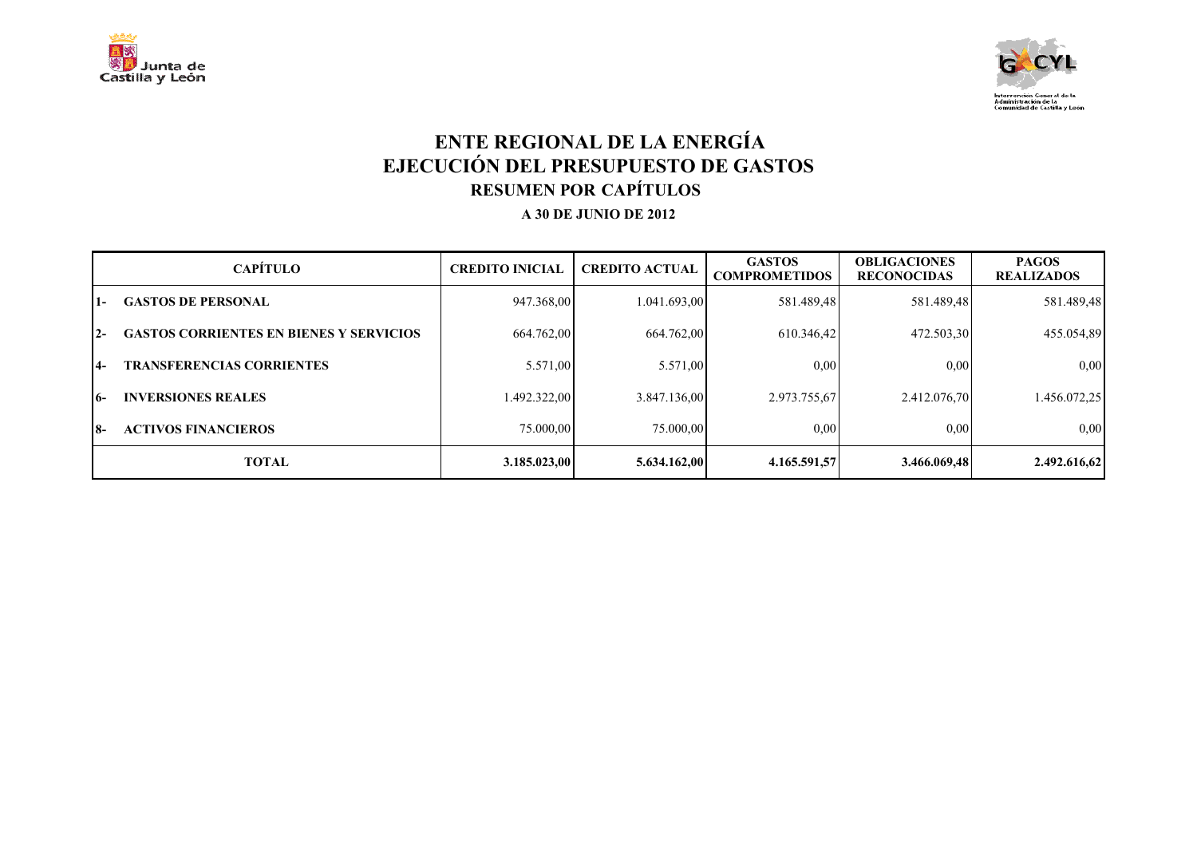



## **ENTE REGIONAL DE LA ENERGÍA EJECUCIÓN DEL PRESUPUESTO DE GASTOS RESUMEN POR CAPÍTULOS**

|       | <b>CAPÍTULO</b>                                | <b>CREDITO INICIAL</b> | <b>CREDITO ACTUAL</b> | <b>GASTOS</b><br><b>COMPROMETIDOS</b> | <b>OBLIGACIONES</b><br><b>RECONOCIDAS</b> | <b>PAGOS</b><br><b>REALIZADOS</b> |
|-------|------------------------------------------------|------------------------|-----------------------|---------------------------------------|-------------------------------------------|-----------------------------------|
| 1-    | <b>GASTOS DE PERSONAL</b>                      | 947.368,00             | 1.041.693,00          | 581.489,48                            | 581.489,48                                | 581.489,48                        |
| $2 -$ | <b>GASTOS CORRIENTES EN BIENES Y SERVICIOS</b> | 664.762,00             | 664.762,00            | 610.346.42                            | 472.503,30                                | 455.054,89                        |
| $14-$ | <b>TRANSFERENCIAS CORRIENTES</b>               | 5.571,00               | 5.571,00              | 0.00                                  | 0.00                                      | 0,00                              |
| 16-   | <b>INVERSIONES REALES</b>                      | 1.492.322,00           | 3.847.136,00          | 2.973.755,67                          | 2.412.076,70                              | 1.456.072.25                      |
| 18-   | <b>ACTIVOS FINANCIEROS</b>                     | 75.000.00              | 75,000,00             | 0,00                                  | 0,00                                      | 0,00                              |
|       | <b>TOTAL</b>                                   | 3.185.023.00           | 5.634.162,00          | 4.165.591,57                          | 3.466.069.48                              | 2.492.616,62                      |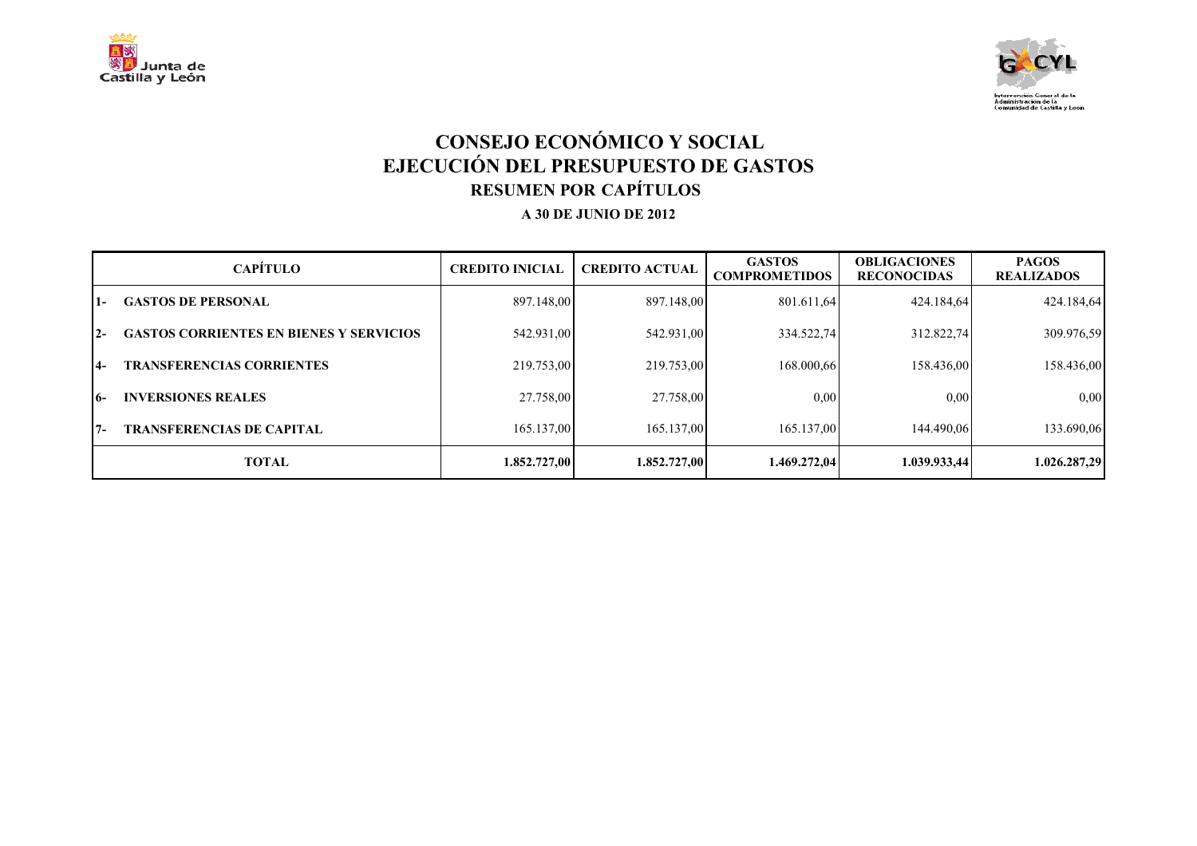



# **CONSEJO ECONÓMICO Y SOCIAL EJECUCIÓN DEL PRESUPUESTO DE GASTOS RESUMEN POR CAPÍTULOS**

|            | <b>CAPÍTULO</b>                                | <b>CREDITO INICIAL</b> | <b>CREDITO ACTUAL</b> | <b>GASTOS</b><br><b>COMPROMETIDOS</b> | <b>OBLIGACIONES</b><br><b>RECONOCIDAS</b> | <b>PAGOS</b><br><b>REALIZADOS</b> |
|------------|------------------------------------------------|------------------------|-----------------------|---------------------------------------|-------------------------------------------|-----------------------------------|
| l 1 –      | <b>GASTOS DE PERSONAL</b>                      | 897.148,00             | 897.148,00            | 801.611,64                            | 424.184,64                                | 424.184,64                        |
| $12-$      | <b>GASTOS CORRIENTES EN BIENES Y SERVICIOS</b> | 542.931,00             | 542.931,00            | 334.522,74                            | 312.822,74                                | 309.976,59                        |
| <b>14-</b> | <b>TRANSFERENCIAS CORRIENTES</b>               | 219.753,00             | 219.753,00            | 168.000,66                            | 158.436,00                                | 158.436,00                        |
| 16-        | <b>INVERSIONES REALES</b>                      | 27.758,00              | 27.758,00             | 0,00                                  | 0.00                                      | 0,00                              |
| 17-        | <b>TRANSFERENCIAS DE CAPITAL</b>               | 165.137,00             | 165.137,00            | 165.137.00                            | 144.490.06                                | 133.690,06                        |
|            | <b>TOTAL</b>                                   | 1.852.727,00           | 1.852.727.00          | 1.469.272,04                          | 1.039.933,44                              | 1.026.287,29                      |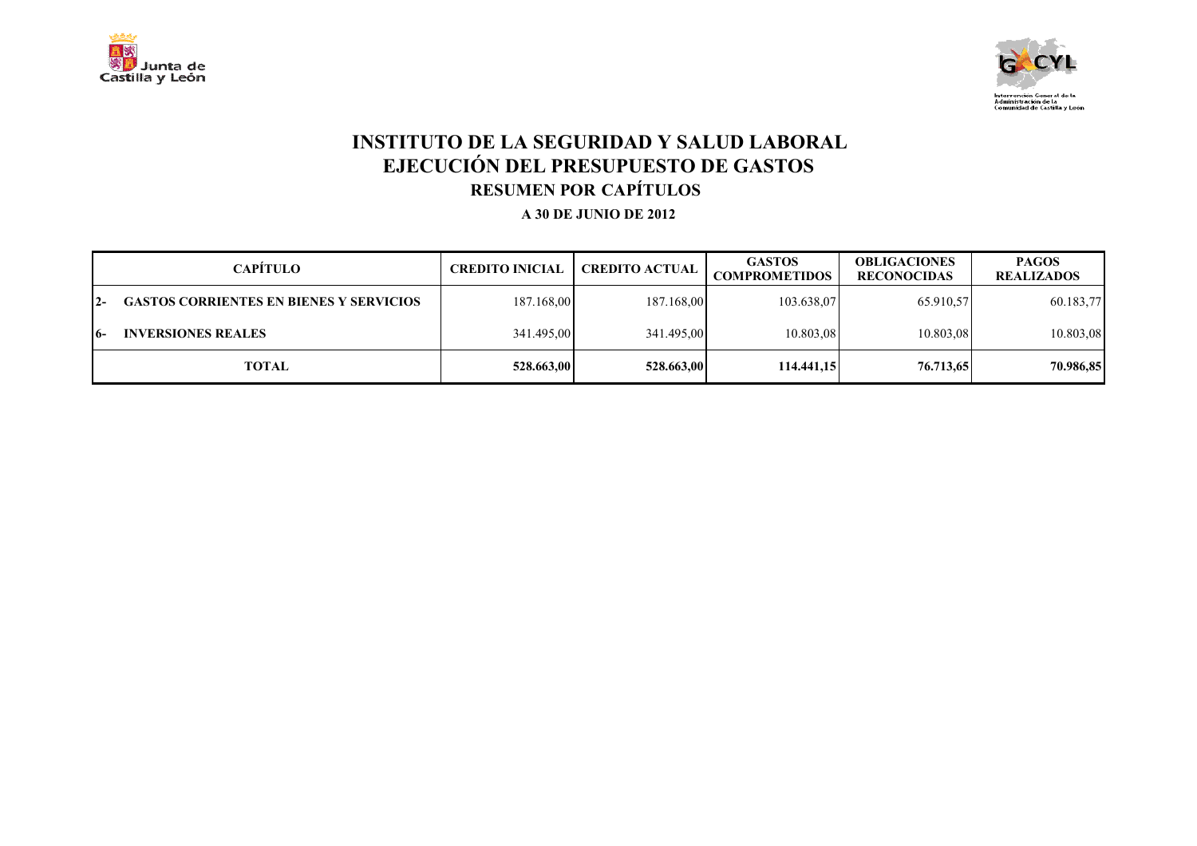



## **INSTITUTO DE LA SEGURIDAD Y SALUD LABORAL EJECUCIÓN DEL PRESUPUESTO DE GASTOS RESUMEN POR CAPÍTULOS**

|       | <b>CAPÍTULO</b>                                | <b>CREDITO INICIAL</b> | <b>CREDITO ACTUAL</b> | <b>GASTOS</b><br><b>COMPROMETIDOS</b> | <b>OBLIGACIONES</b><br><b>RECONOCIDAS</b> | <b>PAGOS</b><br><b>REALIZADOS</b> |
|-------|------------------------------------------------|------------------------|-----------------------|---------------------------------------|-------------------------------------------|-----------------------------------|
| $12-$ | <b>GASTOS CORRIENTES EN BIENES Y SERVICIOS</b> | 187.168,00             | 187.168,00            | 103.638,07                            | 65.910.57                                 | 60.183,77                         |
| 16-   | <b>INVERSIONES REALES</b>                      | 341.495,00             | 341.495,00            | 10.803,08                             | 10.803,08                                 | 10.803,08                         |
|       | TOTAL                                          | 528.663,00             | 528.663.00            | 114,441,15                            | 76.713.65                                 | 70.986,85                         |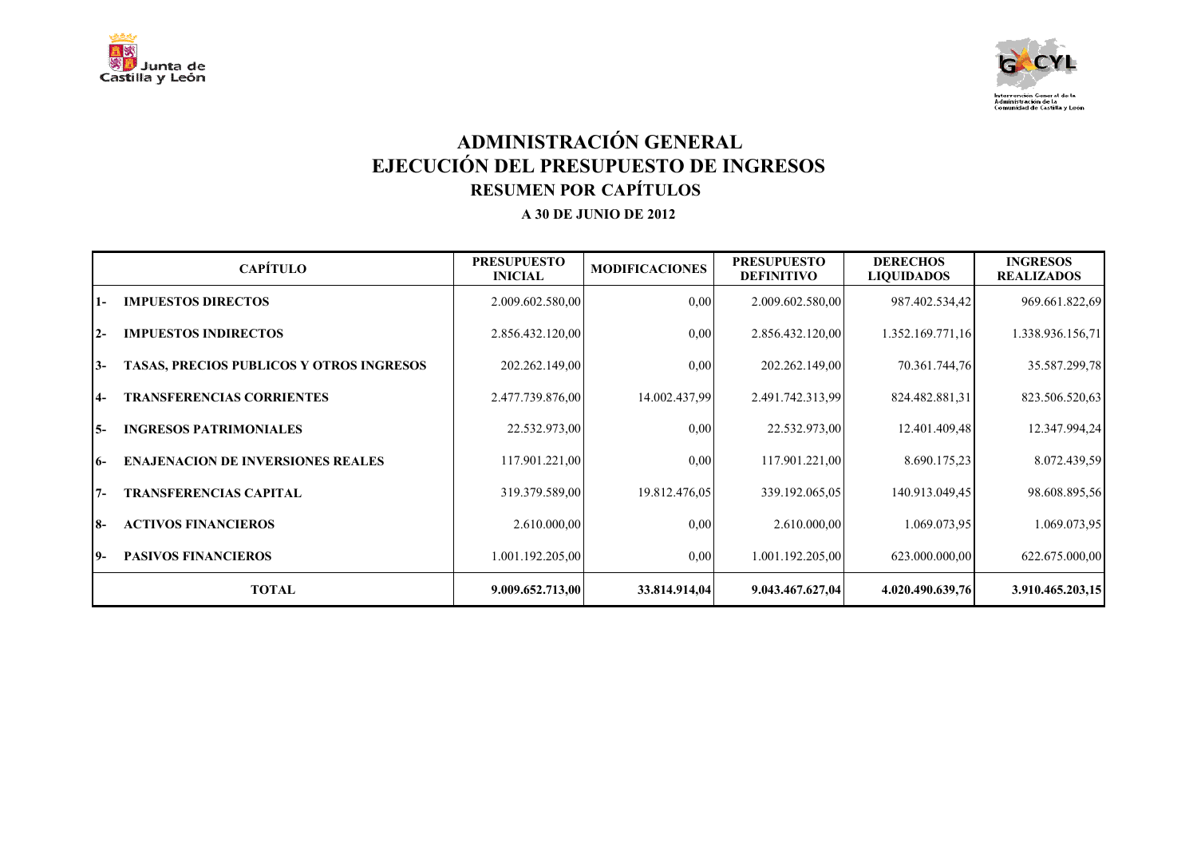



# **ADMINISTRACIÓN GENERAL EJECUCIÓN DEL PRESUPUESTO DE INGRESOS RESUMEN POR CAPÍTULOS**

|       | <b>CAPÍTULO</b>                                 | <b>PRESUPUESTO</b><br><b>INICIAL</b> | <b>MODIFICACIONES</b> | <b>PRESUPUESTO</b><br><b>DEFINITIVO</b> | <b>DERECHOS</b><br><b>LIQUIDADOS</b> | <b>INGRESOS</b><br><b>REALIZADOS</b> |
|-------|-------------------------------------------------|--------------------------------------|-----------------------|-----------------------------------------|--------------------------------------|--------------------------------------|
| 1-    | <b>IMPUESTOS DIRECTOS</b>                       | 2.009.602.580,00                     | 0.00                  | 2.009.602.580,00                        | 987.402.534,42                       | 969.661.822,69                       |
| $12-$ | <b>IMPUESTOS INDIRECTOS</b>                     | 2.856.432.120,00                     | 0,00                  | 2.856.432.120,00                        | 1.352.169.771,16                     | 1.338.936.156,71                     |
| $3-$  | <b>TASAS, PRECIOS PUBLICOS Y OTROS INGRESOS</b> | 202.262.149,00                       | 0.00                  | 202.262.149,00                          | 70.361.744,76                        | 35.587.299,78                        |
| $4-$  | <b>TRANSFERENCIAS CORRIENTES</b>                | 2.477.739.876,00                     | 14.002.437,99         | 2.491.742.313.99                        | 824.482.881,31                       | 823.506.520,63                       |
| 15-   | <b>INGRESOS PATRIMONIALES</b>                   | 22.532.973,00                        | 0.00                  | 22.532.973,00                           | 12.401.409,48                        | 12.347.994,24                        |
| 16-   | <b>ENAJENACION DE INVERSIONES REALES</b>        | 117.901.221,00                       | 0,00                  | 117.901.221,00                          | 8.690.175,23                         | 8.072.439,59                         |
| $7 -$ | <b>TRANSFERENCIAS CAPITAL</b>                   | 319.379.589,00                       | 19.812.476,05         | 339.192.065,05                          | 140.913.049.45                       | 98.608.895,56                        |
| I8-   | <b>ACTIVOS FINANCIEROS</b>                      | 2.610.000,00                         | 0,00                  | 2.610.000,00                            | 1.069.073.95                         | 1.069.073,95                         |
| 19-   | <b>PASIVOS FINANCIEROS</b>                      | 1.001.192.205,00                     | 0,00                  | 1.001.192.205,00                        | 623.000.000,00                       | 622.675.000,00                       |
|       | <b>TOTAL</b>                                    | 9.009.652.713,00                     | 33.814.914,04         | 9.043.467.627,04                        | 4.020.490.639,76                     | 3.910.465.203,15                     |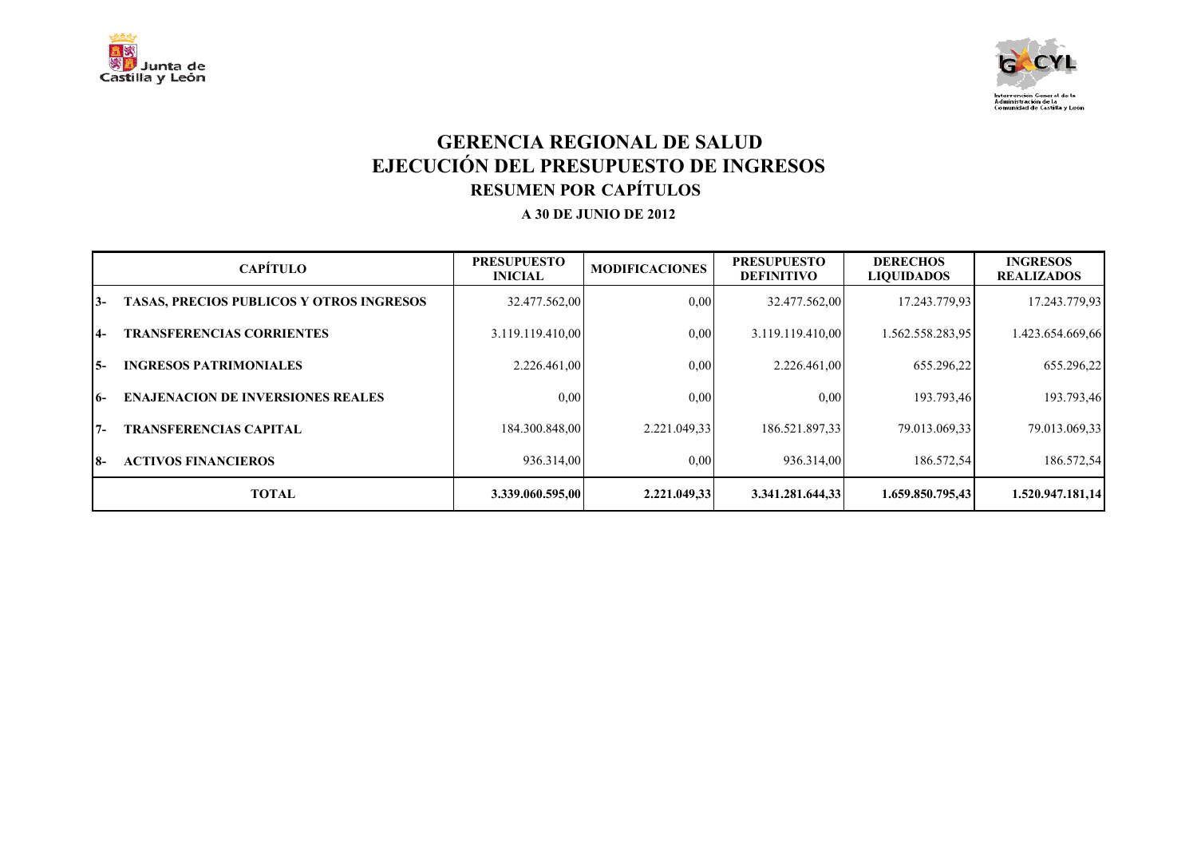



## **GERENCIA REGIONAL DE SALUD EJECUCIÓN DEL PRESUPUESTO DE INGRESOS RESUMEN POR CAPÍTULOS**

|       | <b>CAPÍTULO</b>                                 | <b>PRESUPUESTO</b><br><b>INICIAL</b> | <b>MODIFICACIONES</b> | <b>PRESUPUESTO</b><br><b>DEFINITIVO</b> | <b>DERECHOS</b><br><b>LIQUIDADOS</b> | <b>INGRESOS</b><br><b>REALIZADOS</b> |
|-------|-------------------------------------------------|--------------------------------------|-----------------------|-----------------------------------------|--------------------------------------|--------------------------------------|
| $3-$  | <b>TASAS, PRECIOS PUBLICOS Y OTROS INGRESOS</b> | 32.477.562,00                        | 0,00                  | 32.477.562,00                           | 17.243.779.93                        | 17.243.779,93                        |
| $4-$  | <b>TRANSFERENCIAS CORRIENTES</b>                | 3.119.119.410,00                     | 0,00                  | 3.119.119.410,00                        | 1.562.558.283,95                     | 1.423.654.669,66                     |
| I5-   | <b>INGRESOS PATRIMONIALES</b>                   | 2.226.461.00                         | 0,00                  | 2.226.461.00                            | 655.296,22                           | 655.296,22                           |
| $16-$ | <b>ENAJENACION DE INVERSIONES REALES</b>        | 0.00                                 | 0,00                  | 0.00                                    | 193.793,46                           | 193.793,46                           |
| $7 -$ | <b>TRANSFERENCIAS CAPITAL</b>                   | 184.300.848,00                       | 2.221.049.33          | 186.521.897,33                          | 79.013.069,33                        | 79.013.069.33                        |
| I8-   | <b>ACTIVOS FINANCIEROS</b>                      | 936.314,00                           | 0,00                  | 936.314,00                              | 186.572,54                           | 186.572,54                           |
|       | <b>TOTAL</b>                                    | 3.339.060.595,00                     | 2.221.049.33          | 3.341.281.644.33                        | 1.659.850.795.43                     | 1.520.947.181.14                     |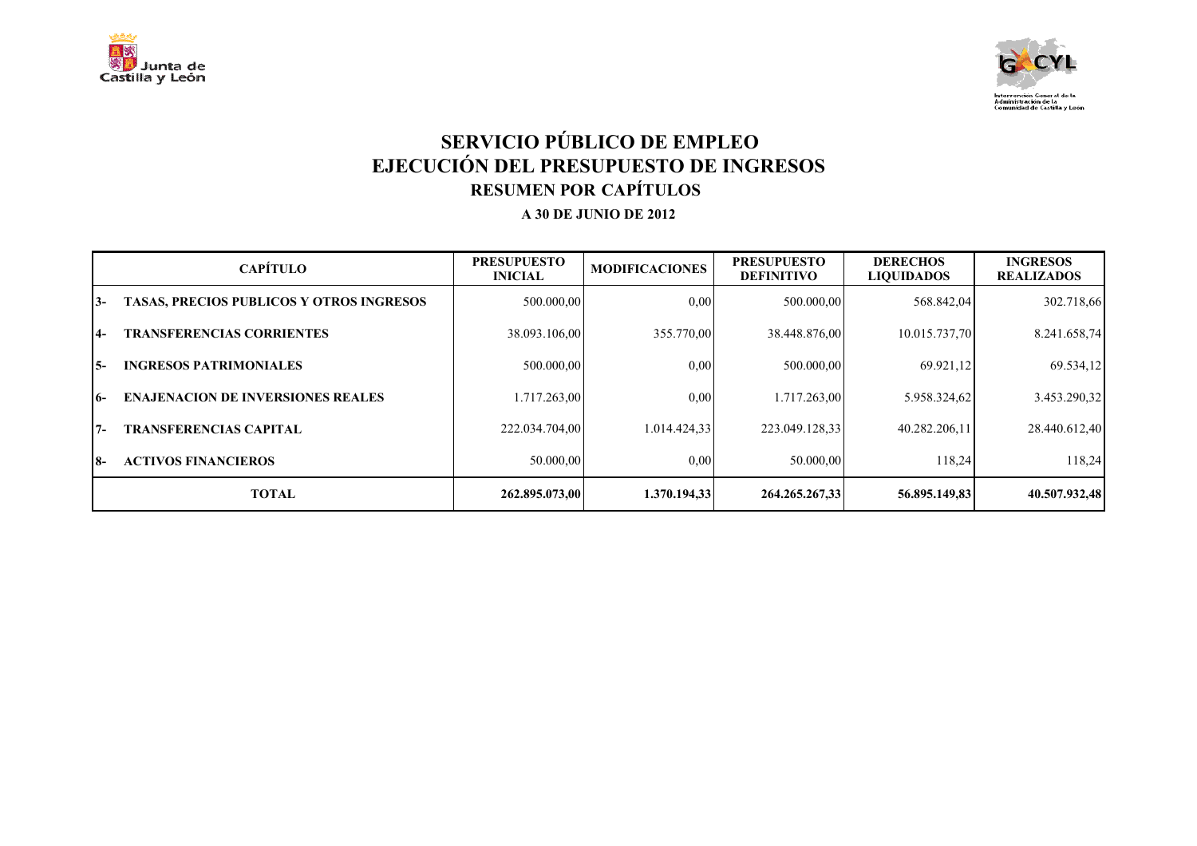



## **SERVICIO PÚBLICO DE EMPLEO EJECUCIÓN DEL PRESUPUESTO DE INGRESOS RESUMEN POR CAPÍTULOS**

|       | <b>CAPÍTULO</b>                                 | <b>PRESUPUESTO</b><br><b>INICIAL</b> | <b>MODIFICACIONES</b> | <b>PRESUPUESTO</b><br><b>DEFINITIVO</b> | <b>DERECHOS</b><br><b>LIQUIDADOS</b> | <b>INGRESOS</b><br><b>REALIZADOS</b> |
|-------|-------------------------------------------------|--------------------------------------|-----------------------|-----------------------------------------|--------------------------------------|--------------------------------------|
| $3-$  | <b>TASAS, PRECIOS PUBLICOS Y OTROS INGRESOS</b> | 500.000,00                           | 0.00                  | 500.000,00                              | 568.842,04                           | 302.718,66                           |
| $4-$  | <b>TRANSFERENCIAS CORRIENTES</b>                | 38.093.106.00                        | 355.770.00            | 38.448.876,00                           | 10.015.737,70                        | 8.241.658,74                         |
| I5-   | <b>INGRESOS PATRIMONIALES</b>                   | 500.000,00                           | 0,00                  | 500,000,00                              | 69.921,12                            | 69.534,12                            |
| $16-$ | <b>ENAJENACION DE INVERSIONES REALES</b>        | 1.717.263,00                         | 0,00                  | 1.717.263.00                            | 5.958.324,62                         | 3.453.290,32                         |
| $7 -$ | <b>TRANSFERENCIAS CAPITAL</b>                   | 222.034.704,00                       | 1.014.424,33          | 223.049.128.33                          | 40.282.206,11                        | 28.440.612,40                        |
| I8-   | <b>ACTIVOS FINANCIEROS</b>                      | 50.000,00                            | 0,00                  | 50,000,00                               | 118,24                               | 118,24                               |
|       | <b>TOTAL</b>                                    | 262.895.073.00                       | 1.370.194.33          | 264.265.267.33                          | 56.895.149.83                        | 40.507.932,48                        |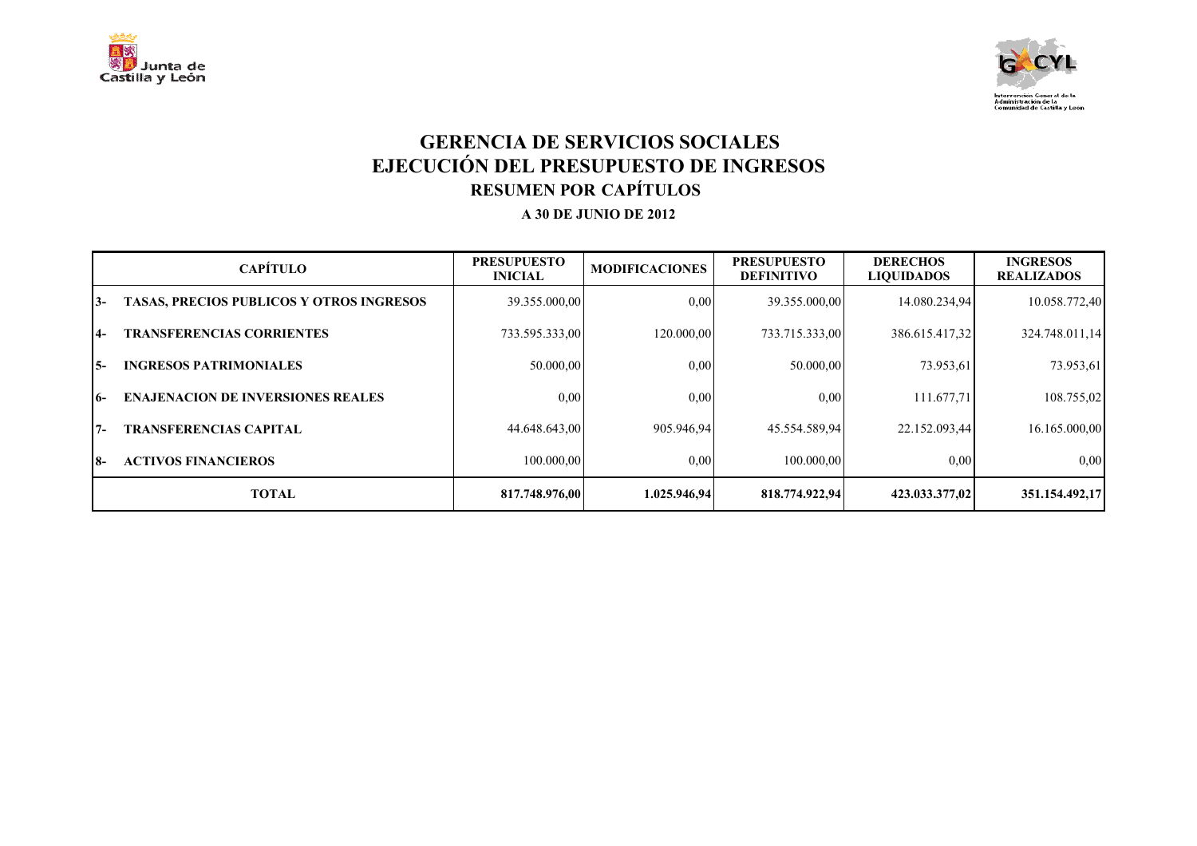



## **GERENCIA DE SERVICIOS SOCIALES EJECUCIÓN DEL PRESUPUESTO DE INGRESOS RESUMEN POR CAPÍTULOS**

|       | <b>CAPÍTULO</b>                                 | <b>PRESUPUESTO</b><br><b>INICIAL</b> | <b>MODIFICACIONES</b> | <b>PRESUPUESTO</b><br><b>DEFINITIVO</b> | <b>DERECHOS</b><br><b>LIQUIDADOS</b> | <b>INGRESOS</b><br><b>REALIZADOS</b> |
|-------|-------------------------------------------------|--------------------------------------|-----------------------|-----------------------------------------|--------------------------------------|--------------------------------------|
| $3-$  | <b>TASAS, PRECIOS PUBLICOS Y OTROS INGRESOS</b> | 39.355.000,00                        | 0,00                  | 39.355.000,00                           | 14.080.234,94                        | 10.058.772,40                        |
| $4-$  | <b>TRANSFERENCIAS CORRIENTES</b>                | 733.595.333,00                       | 120.000.00            | 733.715.333,00                          | 386.615.417,32                       | 324.748.011,14                       |
| I 5-  | <b>INGRESOS PATRIMONIALES</b>                   | 50.000,00                            | 0.00                  | 50.000.00                               | 73.953,61                            | 73.953,61                            |
| $16-$ | <b>ENAJENACION DE INVERSIONES REALES</b>        | 0.00                                 | 0,00                  | 0.00                                    | 111.677.71                           | 108.755,02                           |
| $7 -$ | <b>TRANSFERENCIAS CAPITAL</b>                   | 44.648.643.00                        | 905.946.94            | 45.554.589,94                           | 22.152.093,44                        | 16.165.000,00                        |
| I8-   | <b>ACTIVOS FINANCIEROS</b>                      | 100,000,00                           | 0,00                  | 100.000.00                              | 0.00                                 | 0.00                                 |
|       | <b>TOTAL</b>                                    | 817.748.976.00                       | 1.025.946.94          | 818.774.922.94                          | 423.033.377.02                       | 351.154.492.17                       |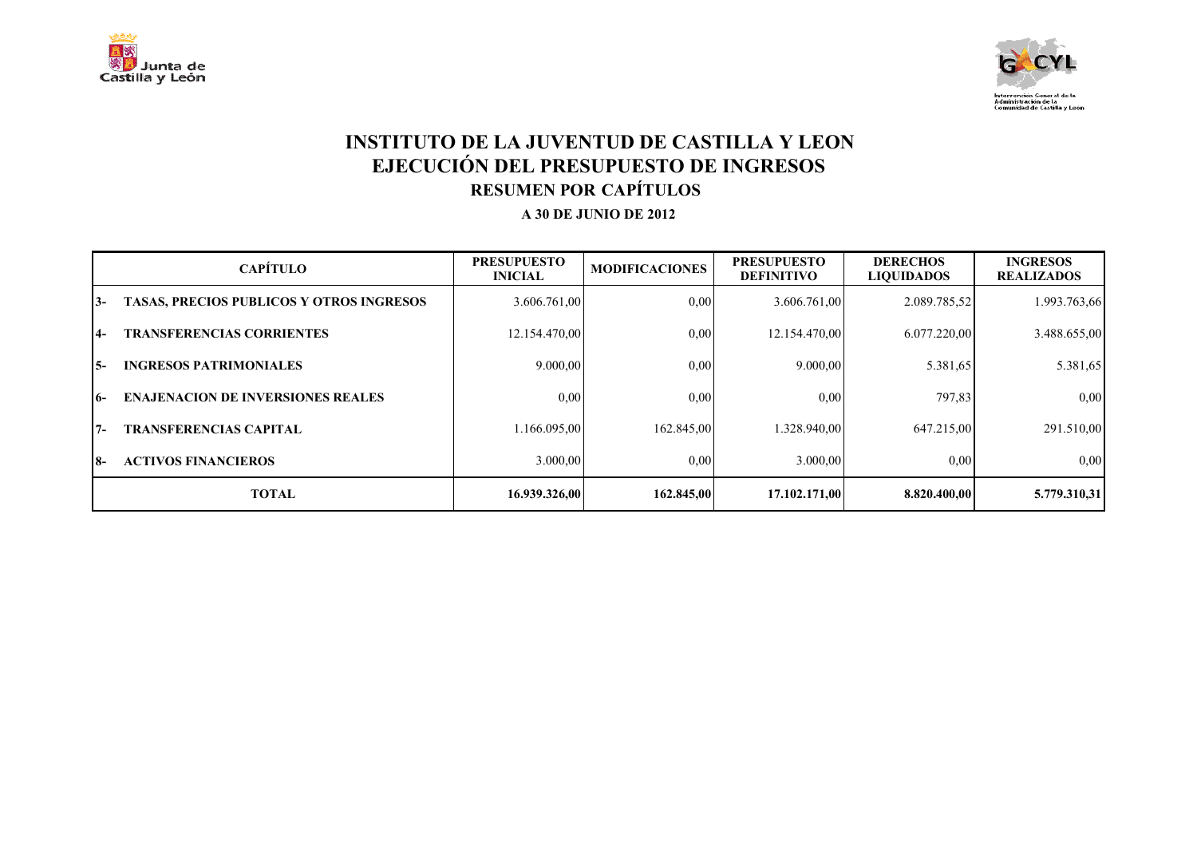



## **INSTITUTO DE LA JUVENTUD DE CASTILLA Y LEON EJECUCIÓN DEL PRESUPUESTO DE INGRESOS RESUMEN POR CAPÍTULOS**

|     | <b>CAPÍTULO</b>                                 | <b>PRESUPUESTO</b><br><b>INICIAL</b> | <b>MODIFICACIONES</b> | <b>PRESUPUESTO</b><br><b>DEFINITIVO</b> | <b>DERECHOS</b><br><b>LIQUIDADOS</b> | <b>INGRESOS</b><br><b>REALIZADOS</b> |
|-----|-------------------------------------------------|--------------------------------------|-----------------------|-----------------------------------------|--------------------------------------|--------------------------------------|
| 13- | <b>TASAS, PRECIOS PUBLICOS Y OTROS INGRESOS</b> | 3.606.761,00                         | 0,00                  | 3.606.761,00                            | 2.089.785.52                         | 1.993.763,66                         |
| 14- | <b>TRANSFERENCIAS CORRIENTES</b>                | 12.154.470,00                        | 0.00                  | 12.154.470,00                           | 6.077.220,00                         | 3.488.655,00                         |
| I5- | <b>INGRESOS PATRIMONIALES</b>                   | 9.000,00                             | 0,00                  | 9.000,00                                | 5.381,65                             | 5.381,65                             |
| 16- | <b>ENAJENACION DE INVERSIONES REALES</b>        | 0.00                                 | 0,00                  | 0.00                                    | 797,83                               | 0,00                                 |
| 17- | <b>TRANSFERENCIAS CAPITAL</b>                   | 1.166.095,00                         | 162.845,00            | 1.328.940,00                            | 647.215,00                           | 291.510,00                           |
| I8- | <b>ACTIVOS FINANCIEROS</b>                      | 3.000.00                             | 0,00                  | 3.000.00                                | 0.00                                 | 0.00                                 |
|     | <b>TOTAL</b>                                    | 16.939.326.00                        | 162.845,00            | 17.102.171.00                           | 8.820.400.00                         | 5.779.310,31                         |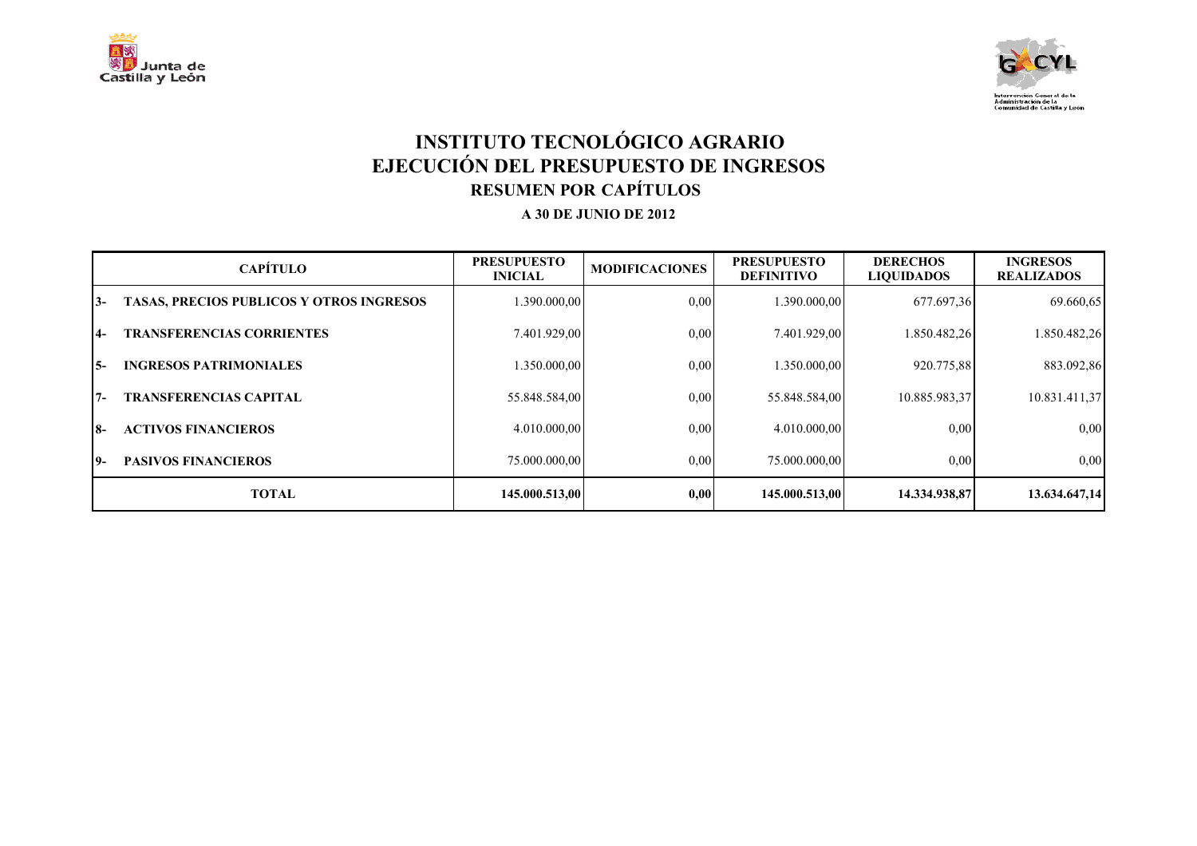



## **INSTITUTO TECNOLÓGICO AGRARIO EJECUCIÓN DEL PRESUPUESTO DE INGRESOS RESUMEN POR CAPÍTULOS**

|           | <b>CAPÍTULO</b>                                 | <b>PRESUPUESTO</b><br><b>INICIAL</b> | <b>MODIFICACIONES</b> | <b>PRESUPUESTO</b><br><b>DEFINITIVO</b> | <b>DERECHOS</b><br><b>LIQUIDADOS</b> | <b>INGRESOS</b><br><b>REALIZADOS</b> |
|-----------|-------------------------------------------------|--------------------------------------|-----------------------|-----------------------------------------|--------------------------------------|--------------------------------------|
| $3-$      | <b>TASAS, PRECIOS PUBLICOS Y OTROS INGRESOS</b> | 1.390.000,00                         | 0,00                  | .390.000.00                             | 677.697,36                           | 69.660,65                            |
| <b>4-</b> | <b>TRANSFERENCIAS CORRIENTES</b>                | 7.401.929,00                         | 0,00                  | 7.401.929,00                            | 1.850.482,26                         | 1.850.482,26                         |
| I5-       | <b>INGRESOS PATRIMONIALES</b>                   | 1.350.000.00                         | 0,00                  | .350.000.00                             | 920.775.88                           | 883.092,86                           |
| $7 -$     | <b>TRANSFERENCIAS CAPITAL</b>                   | 55.848.584,00                        | 0,00                  | 55.848.584,00                           | 10.885.983,37                        | 10.831.411,37                        |
| <b>8-</b> | <b>ACTIVOS FINANCIEROS</b>                      | 4.010.000.00                         | 0,00                  | 4.010.000.00                            | 0,00                                 | 0,00                                 |
| 19-       | <b>PASIVOS FINANCIEROS</b>                      | 75.000.000,00                        | 0,00                  | 75.000.000,00                           | 0.00                                 | 0,00                                 |
|           | <b>TOTAL</b>                                    | 145.000.513.00                       | 0.00                  | 145.000.513.00                          | 14.334.938.87                        | 13.634.647,14                        |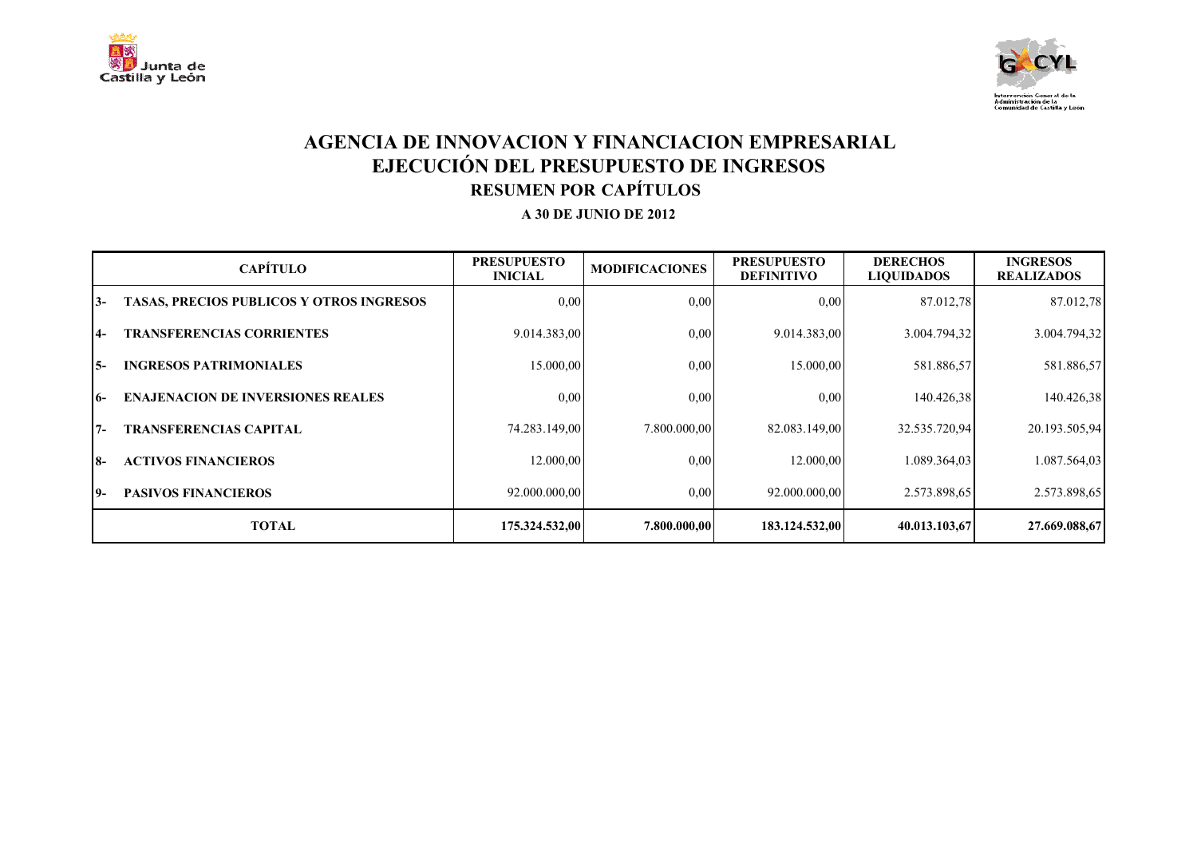



### **AGENCIA DE INNOVACION Y FINANCIACION EMPRESARIAL EJECUCIÓN DEL PRESUPUESTO DE INGRESOS RESUMEN POR CAPÍTULOS**

|       | <b>CAPÍTULO</b>                                 | <b>PRESUPUESTO</b><br><b>INICIAL</b> | <b>MODIFICACIONES</b> | <b>PRESUPUESTO</b><br><b>DEFINITIVO</b> | <b>DERECHOS</b><br><b>LIQUIDADOS</b> | <b>INGRESOS</b><br><b>REALIZADOS</b> |
|-------|-------------------------------------------------|--------------------------------------|-----------------------|-----------------------------------------|--------------------------------------|--------------------------------------|
| $3-$  | <b>TASAS, PRECIOS PUBLICOS Y OTROS INGRESOS</b> | 0.00                                 | 0.00                  | 0,00                                    | 87.012,78                            | 87.012,78                            |
| $4-$  | <b>TRANSFERENCIAS CORRIENTES</b>                | 9.014.383,00                         | 0.00                  | 9.014.383,00                            | 3.004.794,32                         | 3.004.794,32                         |
| I 5-  | <b>INGRESOS PATRIMONIALES</b>                   | 15.000,00                            | 0.00                  | 15.000,00                               | 581.886,57                           | 581.886,57                           |
| 16-   | <b>ENAJENACION DE INVERSIONES REALES</b>        | 0,00                                 | 0.00                  | 0,00                                    | 140.426,38                           | 140.426,38                           |
| $7 -$ | <b>TRANSFERENCIAS CAPITAL</b>                   | 74.283.149,00                        | 7.800.000.00          | 82.083.149,00                           | 32.535.720,94                        | 20.193.505,94                        |
| 18-   | <b>ACTIVOS FINANCIEROS</b>                      | 12.000.00                            | 0.00                  | 12.000,00                               | 1.089.364,03                         | 1.087.564,03                         |
| 19-   | <b>PASIVOS FINANCIEROS</b>                      | 92.000.000,00                        | 0.00                  | 92.000.000,00                           | 2.573.898,65                         | 2.573.898,65                         |
|       | <b>TOTAL</b>                                    | 175.324.532,00                       | 7.800.000,00          | 183.124.532,00                          | 40.013.103,67                        | 27.669.088,67                        |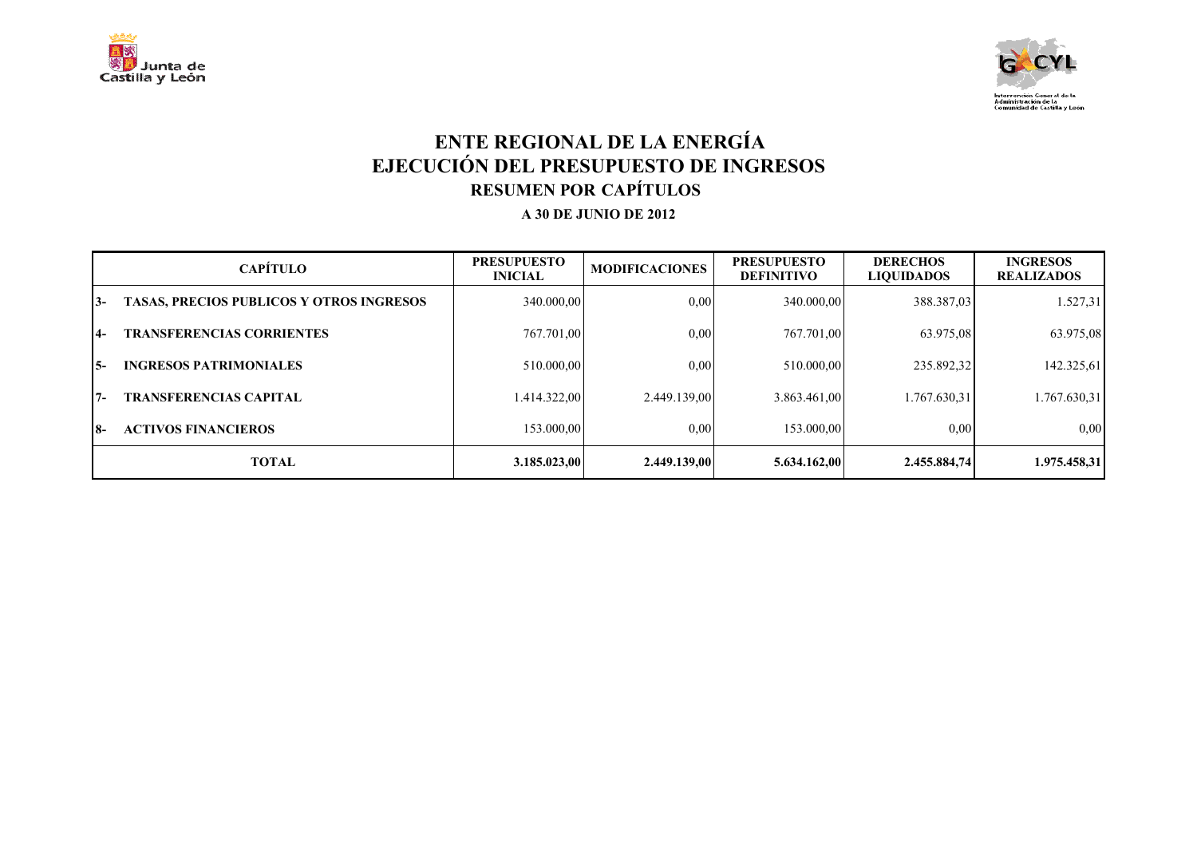



## **ENTE REGIONAL DE LA ENERGÍA EJECUCIÓN DEL PRESUPUESTO DE INGRESOS RESUMEN POR CAPÍTULOS**

|       | <b>CAPÍTULO</b>                                 | <b>PRESUPUESTO</b><br><b>INICIAL</b> | <b>MODIFICACIONES</b> | <b>PRESUPUESTO</b><br><b>DEFINITIVO</b> | <b>DERECHOS</b><br><b>LIQUIDADOS</b> | <b>INGRESOS</b><br><b>REALIZADOS</b> |
|-------|-------------------------------------------------|--------------------------------------|-----------------------|-----------------------------------------|--------------------------------------|--------------------------------------|
| 13-   | <b>TASAS, PRECIOS PUBLICOS Y OTROS INGRESOS</b> | 340.000,00                           | 0,00                  | 340,000,00                              | 388.387,03                           | 1.527,31                             |
| $4-$  | <b>TRANSFERENCIAS CORRIENTES</b>                | 767.701,00                           | 0.00                  | 767.701,00                              | 63.975,08                            | 63.975,08                            |
| I 5-  | <b>INGRESOS PATRIMONIALES</b>                   | 510.000,00                           | 0.00                  | 510.000,00                              | 235.892,32                           | 142.325,61                           |
| 17-   | <b>TRANSFERENCIAS CAPITAL</b>                   | 1.414.322,00                         | 2.449.139.00          | 3.863.461,00                            | 1.767.630.31                         | 1.767.630,31                         |
| $18-$ | <b>ACTIVOS FINANCIEROS</b>                      | 153.000,00                           | 0,00                  | 153.000,00                              | 0,00                                 | 0,00                                 |
|       | <b>TOTAL</b>                                    | 3.185.023,00                         | 2.449.139,00          | 5.634.162,00                            | 2.455.884,74                         | 1.975.458,31                         |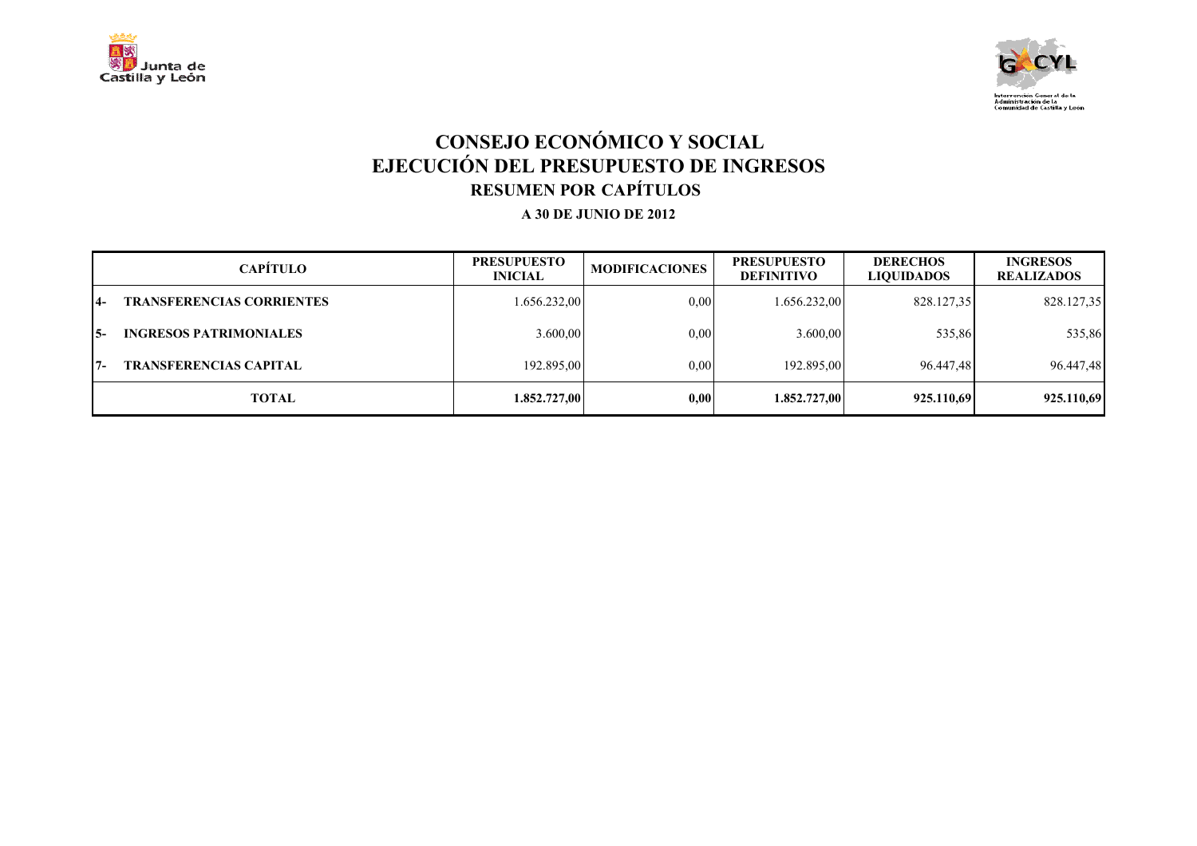



# **CONSEJO ECONÓMICO Y SOCIAL EJECUCIÓN DEL PRESUPUESTO DE INGRESOS RESUMEN POR CAPÍTULOS**

|                | <b>CAPÍTULO</b>                  | <b>PRESUPUESTO</b><br><b>INICIAL</b> | <b>MODIFICACIONES</b> | <b>PRESUPUESTO</b><br><b>DEFINITIVO</b> | <b>DERECHOS</b><br><b>LIQUIDADOS</b> | <b>INGRESOS</b><br><b>REALIZADOS</b> |
|----------------|----------------------------------|--------------------------------------|-----------------------|-----------------------------------------|--------------------------------------|--------------------------------------|
| $\overline{4}$ | <b>TRANSFERENCIAS CORRIENTES</b> | 1.656.232,00                         | 0.00                  | 1.656.232,00                            | 828.127,35                           | 828.127,35                           |
| I5-            | <b>INGRESOS PATRIMONIALES</b>    | 3.600,00                             | 0.00                  | 3.600,00                                | 535,86                               | 535,86                               |
| $17-$          | <b>TRANSFERENCIAS CAPITAL</b>    | 192.895,00                           | 0.00                  | 192.895.00                              | 96.447.48                            | 96.447,48                            |
|                | TOTAL                            | 1.852.727,00                         | 0.00                  | 1.852.727,00                            | 925.110.69                           | 925.110,69                           |